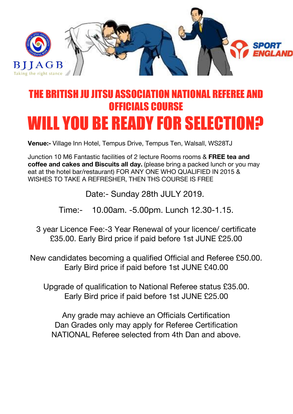

## THE BRITISH JII JITSII ASSOCIATION NATIO OFFICIALS COURSE WILL YOU BE READY FOR SELECTION?

**Venue:-** Village Inn Hotel, Tempus Drive, Tempus Ten, Walsall, WS28TJ

Junction 10 M6 Fantastic facilities of 2 lecture Rooms rooms & **FREE tea and coffee and cakes and Biscuits all day.** (please bring a packed lunch or you may eat at the hotel bar/restaurant) FOR ANY ONE WHO QUALIFIED IN 2015 & WISHES TO TAKE A REFRESHER, THEN THS COURSE IS FREE

Date:- Sunday 28th JULY 2019.

Time:- 10.00am. -5.00pm. Lunch 12.30-1.15.

3 year Licence Fee:-3 Year Renewal of your licence/ certificate £35.00. Early Bird price if paid before 1st JUNE £25.00

New candidates becoming a qualified Official and Referee £50.00. Early Bird price if paid before 1st JUNE £40.00

Upgrade of qualification to National Referee status £35.00. Early Bird price if paid before 1st JUNE £25.00

Any grade may achieve an Officials Certification Dan Grades only may apply for Referee Certification NATIONAL Referee selected from 4th Dan and above.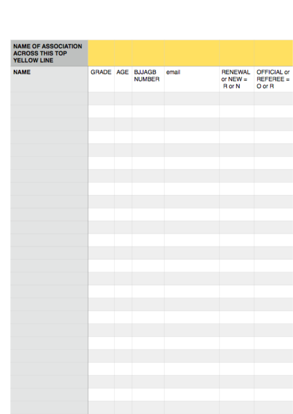| <b>NAME OF ASSOCIATION</b><br><b>ACROSS THIS TOP</b><br>YELLOW LINE |  |                                   |       |                                               |                                           |
|---------------------------------------------------------------------|--|-----------------------------------|-------|-----------------------------------------------|-------------------------------------------|
| <b>NAME</b>                                                         |  | GRADE AGE BJJAGB<br><b>NUMBER</b> | email | <b>RENEWAL</b><br>or $NEW =$<br><b>R</b> or N | <b>OFFICIAL or</b><br>REFEREE =<br>O or R |
|                                                                     |  |                                   |       |                                               |                                           |
|                                                                     |  |                                   |       |                                               |                                           |
|                                                                     |  |                                   |       |                                               |                                           |
|                                                                     |  |                                   |       |                                               |                                           |
|                                                                     |  |                                   |       |                                               |                                           |
|                                                                     |  |                                   |       |                                               |                                           |
|                                                                     |  |                                   |       |                                               |                                           |
|                                                                     |  |                                   |       |                                               |                                           |
|                                                                     |  |                                   |       |                                               |                                           |
|                                                                     |  |                                   |       |                                               |                                           |
|                                                                     |  |                                   |       |                                               |                                           |
|                                                                     |  |                                   |       |                                               |                                           |
|                                                                     |  |                                   |       |                                               |                                           |
|                                                                     |  |                                   |       |                                               |                                           |
|                                                                     |  |                                   |       |                                               |                                           |
|                                                                     |  |                                   |       |                                               |                                           |
|                                                                     |  |                                   |       |                                               |                                           |
|                                                                     |  |                                   |       |                                               |                                           |
|                                                                     |  |                                   |       |                                               |                                           |
|                                                                     |  |                                   |       |                                               |                                           |
|                                                                     |  |                                   |       |                                               |                                           |
|                                                                     |  |                                   |       |                                               |                                           |
|                                                                     |  |                                   |       |                                               |                                           |
|                                                                     |  |                                   |       |                                               |                                           |